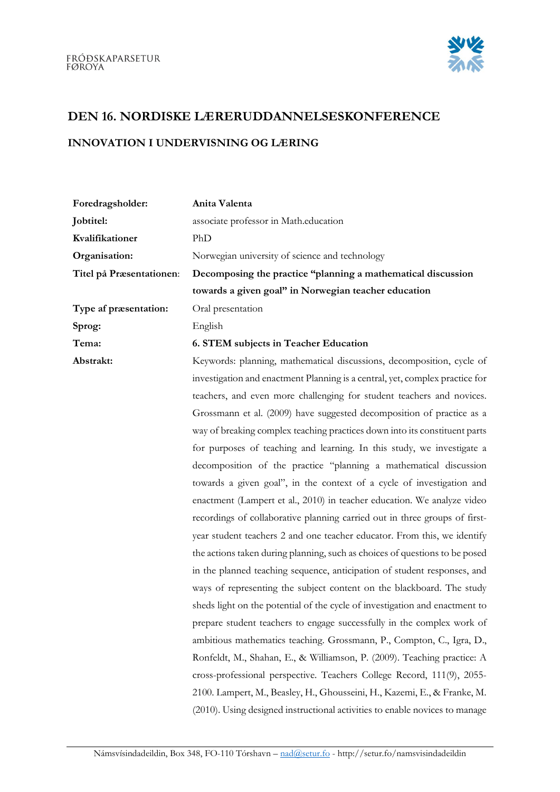

## DEN 16. NORDISKE LÆRERUDDANNELSESKONFERENCE

## INNOVATION I UNDERVISNING OG LÆRING

| Foredragsholder:         | Anita Valenta                                                                |
|--------------------------|------------------------------------------------------------------------------|
| Jobtitel:                | associate professor in Math.education                                        |
| Kvalifikationer          | PhD                                                                          |
| Organisation:            | Norwegian university of science and technology                               |
| Titel på Præsentationen: | Decomposing the practice "planning a mathematical discussion                 |
|                          | towards a given goal" in Norwegian teacher education                         |
| Type af præsentation:    | Oral presentation                                                            |
| Sprog:                   | English                                                                      |
| Tema:                    | 6. STEM subjects in Teacher Education                                        |
| Abstrakt:                | Keywords: planning, mathematical discussions, decomposition, cycle of        |
|                          | investigation and enactment Planning is a central, yet, complex practice for |
|                          | teachers, and even more challenging for student teachers and novices.        |
|                          | Grossmann et al. (2009) have suggested decomposition of practice as a        |
|                          | way of breaking complex teaching practices down into its constituent parts   |
|                          | for purposes of teaching and learning. In this study, we investigate a       |
|                          | decomposition of the practice "planning a mathematical discussion            |
|                          | towards a given goal", in the context of a cycle of investigation and        |
|                          | enactment (Lampert et al., 2010) in teacher education. We analyze video      |
|                          | recordings of collaborative planning carried out in three groups of first-   |
|                          | year student teachers 2 and one teacher educator. From this, we identify     |
|                          | the actions taken during planning, such as choices of questions to be posed  |
|                          | in the planned teaching sequence, anticipation of student responses, and     |
|                          | ways of representing the subject content on the blackboard. The study        |
|                          | sheds light on the potential of the cycle of investigation and enactment to  |
|                          | prepare student teachers to engage successfully in the complex work of       |
|                          | ambitious mathematics teaching. Grossmann, P., Compton, C., Igra, D.,        |
|                          | Ronfeldt, M., Shahan, E., & Williamson, P. (2009). Teaching practice: A      |
|                          | cross-professional perspective. Teachers College Record, 111(9), 2055-       |
|                          | 2100. Lampert, M., Beasley, H., Ghousseini, H., Kazemi, E., & Franke, M.     |
|                          | (2010). Using designed instructional activities to enable novices to manage  |